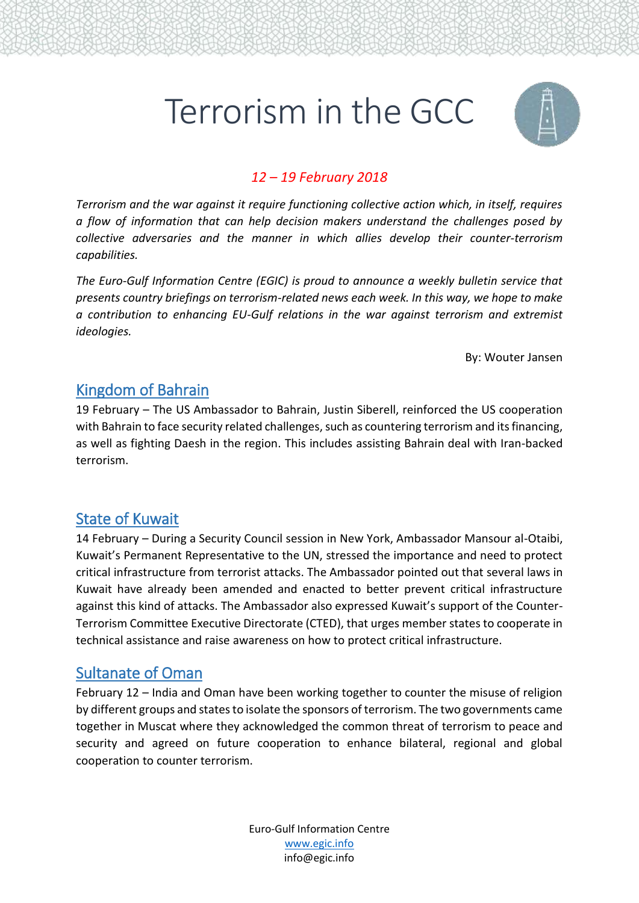# Terrorism in the GCC



#### *12 – 19 February 2018*

*Terrorism and the war against it require functioning collective action which, in itself, requires a flow of information that can help decision makers understand the challenges posed by collective adversaries and the manner in which allies develop their counter-terrorism capabilities.* 

*The Euro-Gulf Information Centre (EGIC) is proud to announce a weekly bulletin service that presents country briefings on terrorism-related news each week. In this way, we hope to make a contribution to enhancing EU-Gulf relations in the war against terrorism and extremist ideologies.*

By: Wouter Jansen

### Kingdom of Bahrain

19 February – The US Ambassador to Bahrain, Justin Siberell, reinforced the US cooperation with Bahrain to face security related challenges, such as countering terrorism and its financing, as well as fighting Daesh in the region. This includes assisting Bahrain deal with Iran-backed terrorism.

### State of Kuwait

14 February – During a Security Council session in New York, Ambassador Mansour al-Otaibi, Kuwait's Permanent Representative to the UN, stressed the importance and need to protect critical infrastructure from terrorist attacks. The Ambassador pointed out that several laws in Kuwait have already been amended and enacted to better prevent critical infrastructure against this kind of attacks. The Ambassador also expressed Kuwait's support of the Counter-Terrorism Committee Executive Directorate (CTED), that urges member states to cooperate in technical assistance and raise awareness on how to protect critical infrastructure.

### Sultanate of Oman

February 12 – India and Oman have been working together to counter the misuse of religion by different groups and states to isolate the sponsors of terrorism. The two governments came together in Muscat where they acknowledged the common threat of terrorism to peace and security and agreed on future cooperation to enhance bilateral, regional and global cooperation to counter terrorism.

> Euro-Gulf Information Centre [www.egic.info](http://www.egic.info/) info@egic.info